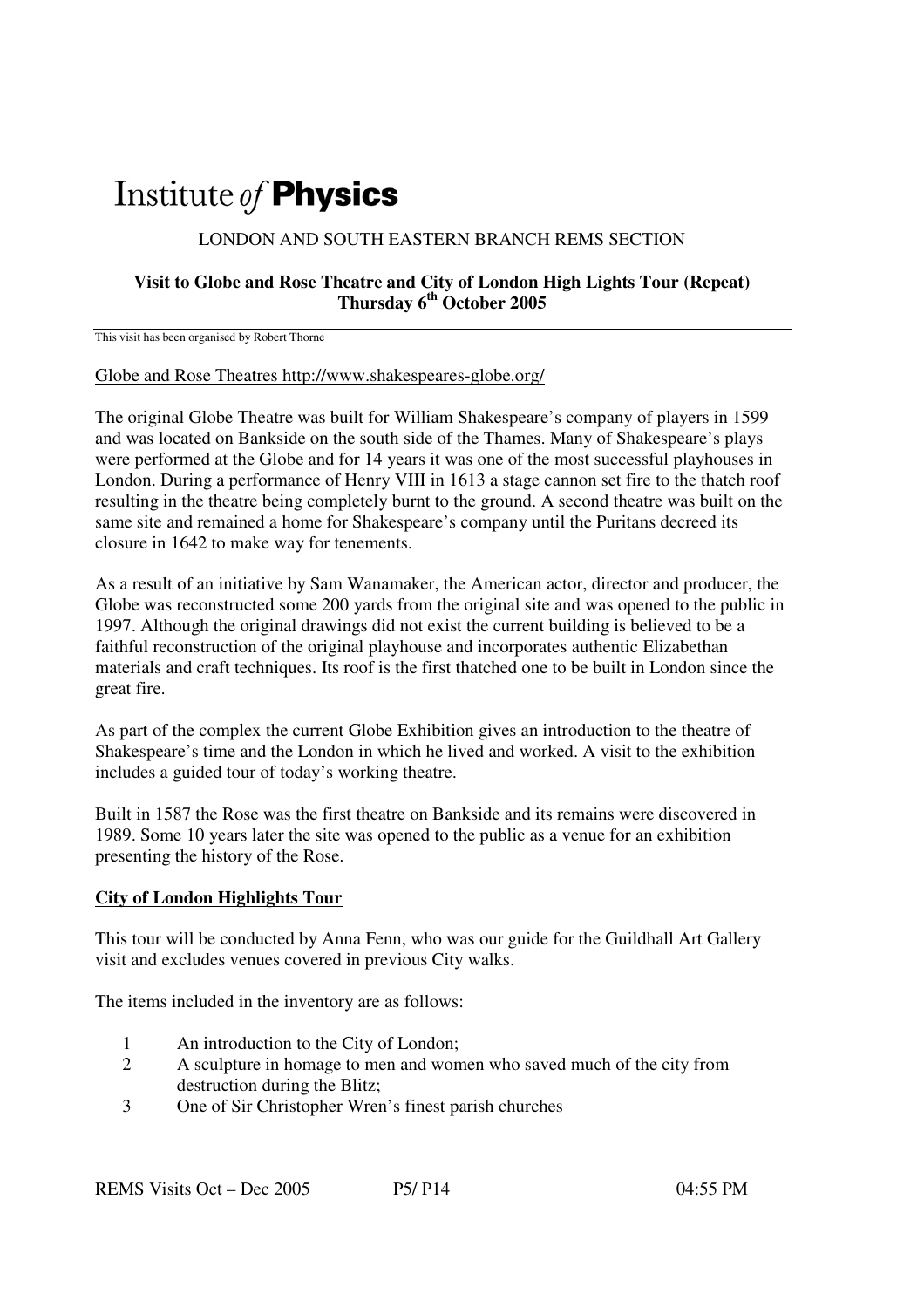# Institute of **Physics**

### LONDON AND SOUTH EASTERN BRANCH REMS SECTION

### **Visit to Globe and Rose Theatre and City of London High Lights Tour (Repeat) Thursday 6th October 2005**

This visit has been organised by Robert Thorne

#### Globe and Rose Theatres http://www.shakespeares-globe.org/

The original Globe Theatre was built for William Shakespeare's company of players in 1599 and was located on Bankside on the south side of the Thames. Many of Shakespeare's plays were performed at the Globe and for 14 years it was one of the most successful playhouses in London. During a performance of Henry VIII in 1613 a stage cannon set fire to the thatch roof resulting in the theatre being completely burnt to the ground. A second theatre was built on the same site and remained a home for Shakespeare's company until the Puritans decreed its closure in 1642 to make way for tenements.

As a result of an initiative by Sam Wanamaker, the American actor, director and producer, the Globe was reconstructed some 200 yards from the original site and was opened to the public in 1997. Although the original drawings did not exist the current building is believed to be a faithful reconstruction of the original playhouse and incorporates authentic Elizabethan materials and craft techniques. Its roof is the first thatched one to be built in London since the great fire.

As part of the complex the current Globe Exhibition gives an introduction to the theatre of Shakespeare's time and the London in which he lived and worked. A visit to the exhibition includes a guided tour of today's working theatre.

Built in 1587 the Rose was the first theatre on Bankside and its remains were discovered in 1989. Some 10 years later the site was opened to the public as a venue for an exhibition presenting the history of the Rose.

## **City of London Highlights Tour**

This tour will be conducted by Anna Fenn, who was our guide for the Guildhall Art Gallery visit and excludes venues covered in previous City walks.

The items included in the inventory are as follows:

- 1 An introduction to the City of London;
- 2 A sculpture in homage to men and women who saved much of the city from destruction during the Blitz;
- 3 One of Sir Christopher Wren's finest parish churches